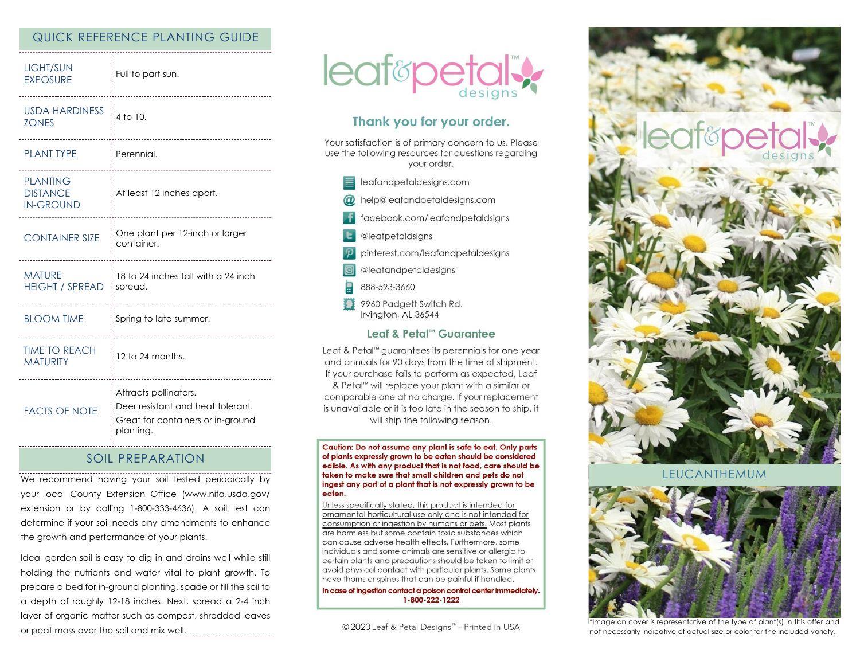## QUICK REFERENCE PLANTING GUIDE

| LIGHT/SUN<br><b>EXPOSURE</b>                                | Full to part sun.<br>                                                                                        |
|-------------------------------------------------------------|--------------------------------------------------------------------------------------------------------------|
| <b>USDA HARDINESS</b><br><b>ZONES</b><br>------------------ | 4 to 10.<br>---------------------                                                                            |
| <b>PLANT TYPE</b>                                           | Perennial.                                                                                                   |
| <b>PLANTING</b><br><b>DISTANCE</b><br><b>IN-GROUND</b>      | At least 12 inches apart.                                                                                    |
| <b>CONTAINER SIZE</b>                                       | One plant per 12-inch or larger<br>container.<br>                                                            |
| <b>MATURE</b><br><b>HEIGHT / SPREAD</b>                     | 18 to 24 inches tall with a 24 inch<br>spread.                                                               |
| <b>BLOOM TIME</b>                                           | Spring to late summer.                                                                                       |
| <b>TIME TO REACH</b><br><b>MATURITY</b>                     | 12 to 24 months.                                                                                             |
| <b>FACTS OF NOTE</b>                                        | Attracts pollinators.<br>Deer resistant and heat tolerant.<br>Great for containers or in-ground<br>planting. |

### SOIL PREPARATION

We recommend having your soil tested periodically by your local County Extension Office (www.nifa.usda.gov/ extension or by calling 1-800-333-4636). A soil test can determine if your soil needs any amendments to enhance the growth and performance of your plants.

Ideal garden soil is easy to dig in and drains well while still holding the nutrients and water vital to plant growth. To prepare a bed for in-ground planting, spade or till the soil to a depth of roughly 12-18 inches. Next, spread a 2-4 inch layer of organic matter such as compost, shredded leaves or peat moss over the soil and mix well.



# Thank you for your order.

Your satisfaction is of primary concern to us. Please use the following resources for questions regarding your order.

- $\equiv$  leafandpetaldesigns.com @ help@leafandpetaldesigns.com
- **i** facebook.com/leafandpetaldsigns
- **L** @leafpetaldsigns
- pinterest.com/leafandpetaldesigns
- @leafandpetaldesigns
- 888-593-3660
- 9960 Padgett Switch Rd. Irvington, AL 36544

### Leaf & Petal™ Guarantee

Leaf & Petal™ guarantees its perennials for one year and annuals for 90 days from the time of shipment. If your purchase fails to perform as expected, Leaf & Petal<sup>™</sup> will replace your plant with a similar or comparable one at no charge. If your replacement is unavailable or it is too late in the season to ship, it will ship the following season.

Caution: Do not assume any plant is safe to eat. Only parts of plants expressly grown to be eaten should be considered edible. As with any product that is not food, care should be taken to make sure that small children and pets do not ingest any part of a plant that is not expressly grown to be eaten.

Unless specifically stated, this product is intended for ornamental horticultural use only and is not intended for consumption or ingestion by humans or pets. Most plants are harmless but some contain toxic substances which can cause adverse health effects. Furthermore, some individuals and some animals are sensitive or allergic to certain plants and precautions should be taken to limit or avoid physical contact with particular plants. Some plants have thorns or spines that can be painful if handled.

In case of ingestion contact a poison control center immediately. 1-800-222-1222

© 2020 Leaf & Petal Designs™ - Printed in USA



**FUCANTHEMUM** 



\*Image on cover is representative of the type of plant(s) in this offer and not necessarily indicative of actual size or color for the included variety.